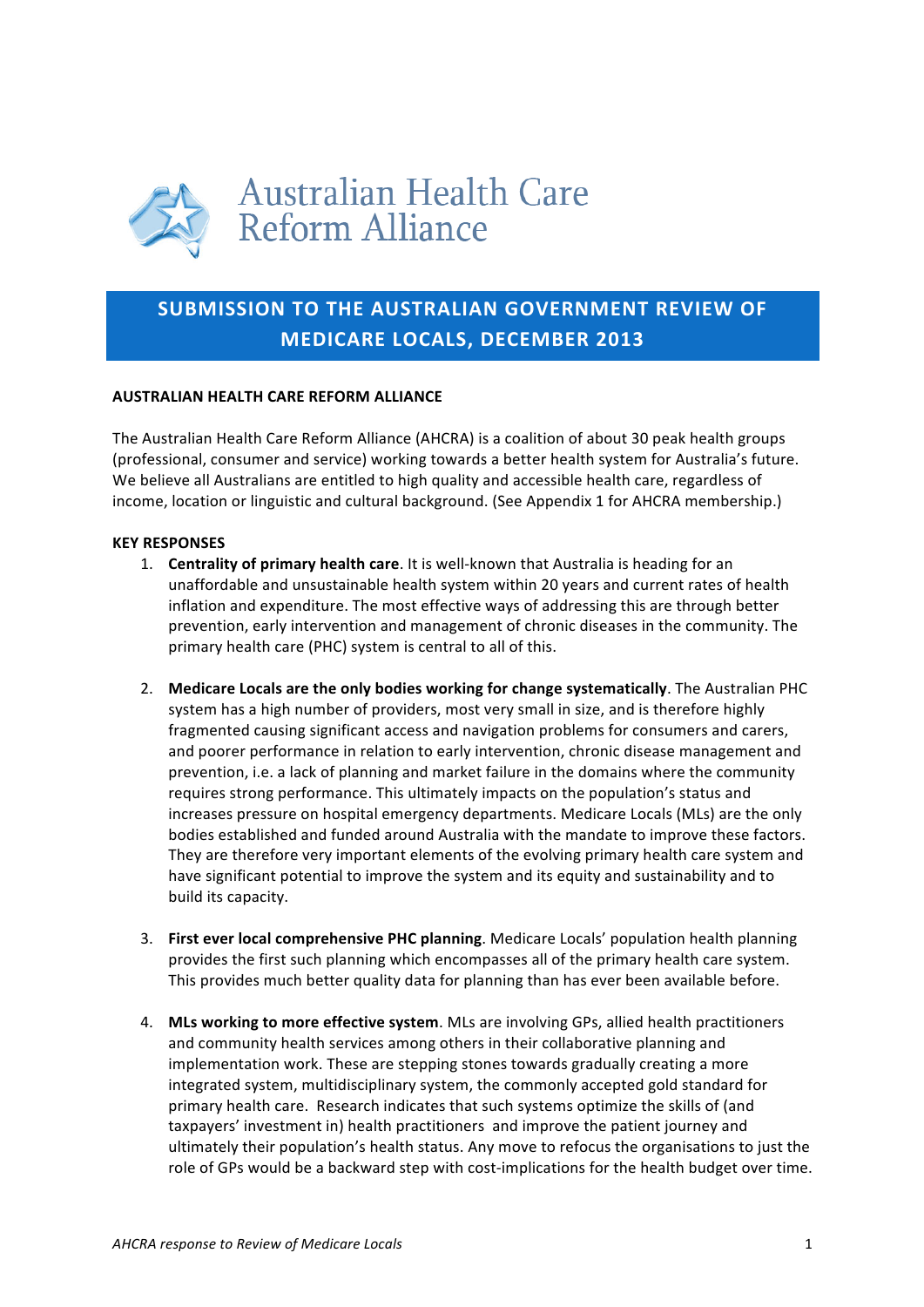

# SUBMISSION TO THE AUSTRALIAN GOVERNMENT REVIEW OF **MEDICARE LOCALS, DECEMBER 2013**

# **AUSTRALIAN HEALTH CARE REFORM ALLIANCE**

The Australian Health Care Reform Alliance (AHCRA) is a coalition of about 30 peak health groups (professional, consumer and service) working towards a better health system for Australia's future. We believe all Australians are entitled to high quality and accessible health care, regardless of income, location or linguistic and cultural background. (See Appendix 1 for AHCRA membership.)

## **KEY(RESPONSES**

- 1. **Centrality of primary health care**. It is well-known that Australia is heading for an unaffordable and unsustainable health system within 20 years and current rates of health inflation and expenditure. The most effective ways of addressing this are through better prevention, early intervention and management of chronic diseases in the community. The primary health care (PHC) system is central to all of this.
- 2. Medicare Locals are the only bodies working for change systematically. The Australian PHC system has a high number of providers, most very small in size, and is therefore highly fragmented causing significant access and navigation problems for consumers and carers, and poorer performance in relation to early intervention, chronic disease management and prevention, i.e. a lack of planning and market failure in the domains where the community requires strong performance. This ultimately impacts on the population's status and increases pressure on hospital emergency departments. Medicare Locals (MLs) are the only bodies established and funded around Australia with the mandate to improve these factors. They are therefore very important elements of the evolving primary health care system and have significant potential to improve the system and its equity and sustainability and to build its capacity.
- 3. **First ever local comprehensive PHC planning**. Medicare Locals' population health planning provides the first such planning which encompasses all of the primary health care system. This provides much better quality data for planning than has ever been available before.
- 4. MLs working to more effective system. MLs are involving GPs, allied health practitioners and community health services among others in their collaborative planning and implementation work. These are stepping stones towards gradually creating a more integrated system, multidisciplinary system, the commonly accepted gold standard for primary health care. Research indicates that such systems optimize the skills of (and taxpayers' investment in) health practitioners and improve the patient journey and ultimately their population's health status. Any move to refocus the organisations to just the role of GPs would be a backward step with cost-implications for the health budget over time.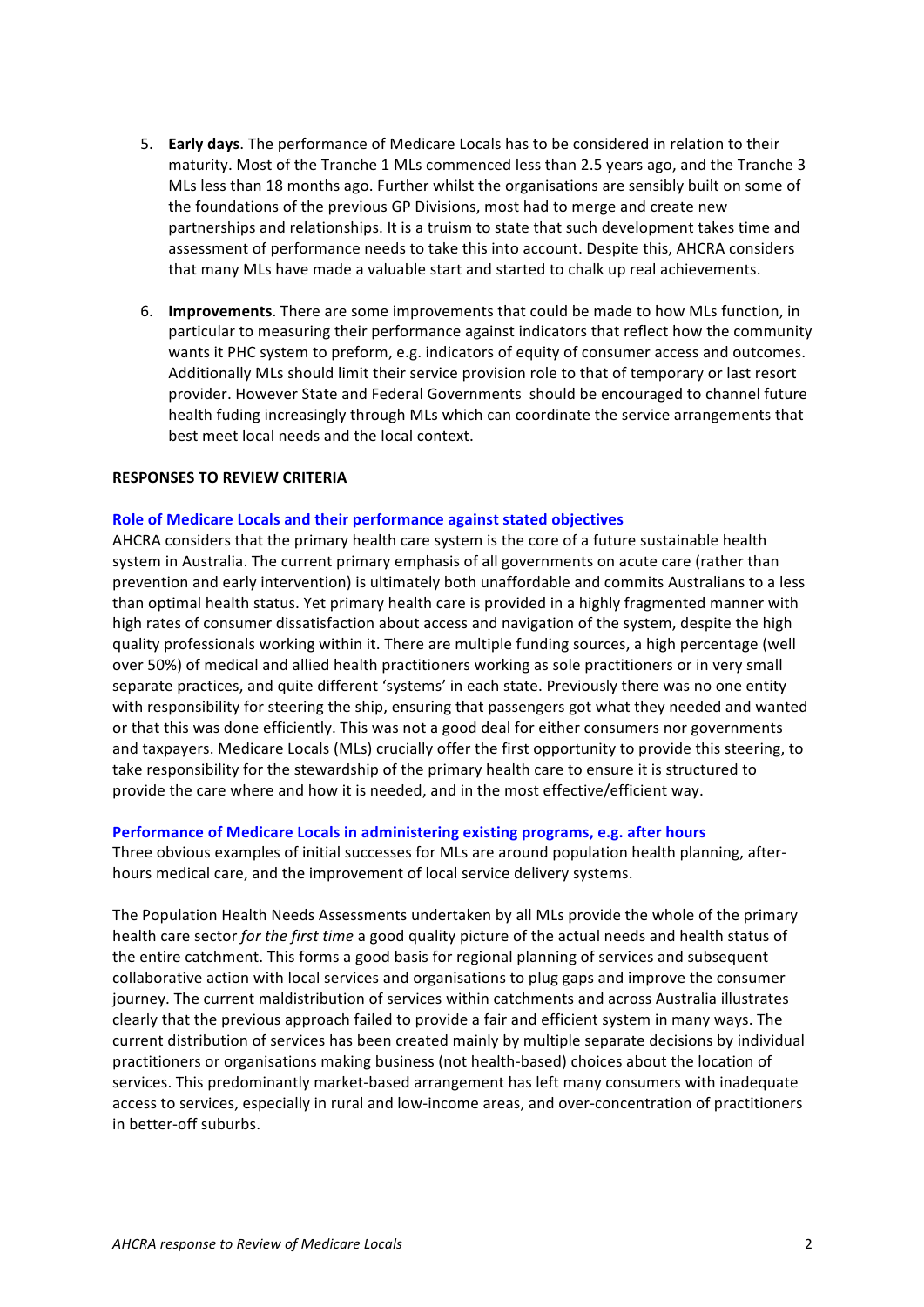- 5. **Early days**. The performance of Medicare Locals has to be considered in relation to their maturity. Most of the Tranche 1 MLs commenced less than 2.5 years ago, and the Tranche 3 MLs less than 18 months ago. Further whilst the organisations are sensibly built on some of the foundations of the previous GP Divisions, most had to merge and create new partnerships and relationships. It is a truism to state that such development takes time and assessment of performance needs to take this into account. Despite this, AHCRA considers that many MLs have made a valuable start and started to chalk up real achievements.
- 6. **Improvements**. There are some improvements that could be made to how MLs function, in particular to measuring their performance against indicators that reflect how the community wants it PHC system to preform, e.g. indicators of equity of consumer access and outcomes. Additionally MLs should limit their service provision role to that of temporary or last resort provider. However State and Federal Governments should be encouraged to channel future health fuding increasingly through MLs which can coordinate the service arrangements that best meet local needs and the local context.

#### **RESPONSES TO REVIEW CRITERIA**

#### Role of Medicare Locals and their performance against stated objectives

AHCRA considers that the primary health care system is the core of a future sustainable health system in Australia. The current primary emphasis of all governments on acute care (rather than prevention and early intervention) is ultimately both unaffordable and commits Australians to a less than optimal health status. Yet primary health care is provided in a highly fragmented manner with high rates of consumer dissatisfaction about access and navigation of the system, despite the high quality professionals working within it. There are multiple funding sources, a high percentage (well over 50%) of medical and allied health practitioners working as sole practitioners or in very small separate practices, and quite different 'systems' in each state. Previously there was no one entity with responsibility for steering the ship, ensuring that passengers got what they needed and wanted or that this was done efficiently. This was not a good deal for either consumers nor governments and taxpayers. Medicare Locals (MLs) crucially offer the first opportunity to provide this steering, to take responsibility for the stewardship of the primary health care to ensure it is structured to provide the care where and how it is needed, and in the most effective/efficient way.

#### **Performance of Medicare Locals in administering existing programs, e.g. after hours**

Three obvious examples of initial successes for MLs are around population health planning, afterhours medical care, and the improvement of local service delivery systems.

The Population Health Needs Assessments undertaken by all MLs provide the whole of the primary health care sector *for the first time* a good quality picture of the actual needs and health status of the entire catchment. This forms a good basis for regional planning of services and subsequent collaborative action with local services and organisations to plug gaps and improve the consumer journey. The current maldistribution of services within catchments and across Australia illustrates clearly that the previous approach failed to provide a fair and efficient system in many ways. The current distribution of services has been created mainly by multiple separate decisions by individual practitioners or organisations making business (not health-based) choices about the location of services. This predominantly market-based arrangement has left many consumers with inadequate access to services, especially in rural and low-income areas, and over-concentration of practitioners in better-off suburbs.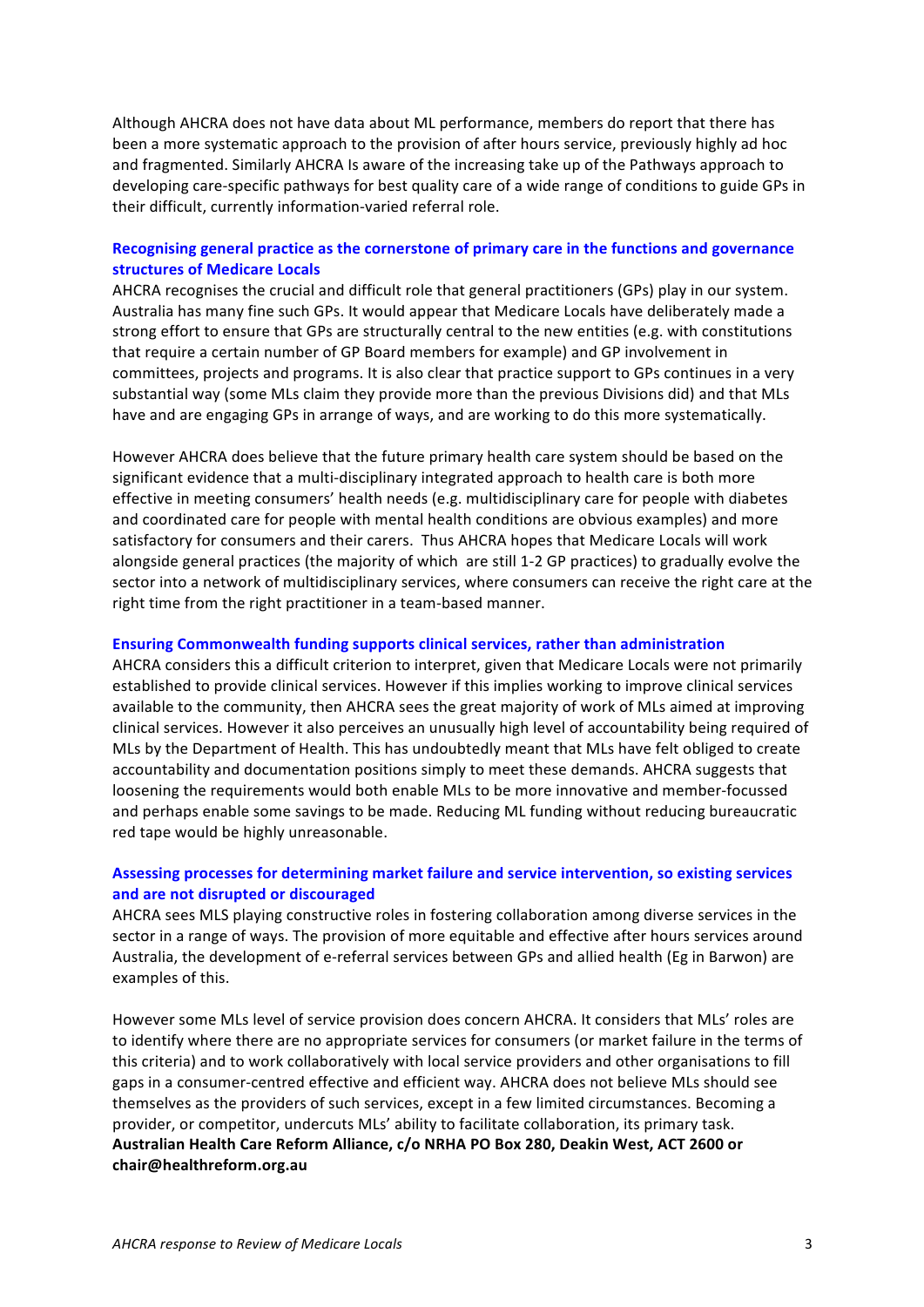Although AHCRA does not have data about ML performance, members do report that there has been a more systematic approach to the provision of after hours service, previously highly ad hoc and fragmented. Similarly AHCRA Is aware of the increasing take up of the Pathways approach to developing care-specific pathways for best quality care of a wide range of conditions to guide GPs in their difficult, currently information-varied referral role.

# Recognising general practice as the cornerstone of primary care in the functions and governance **structures of Medicare Locals**

AHCRA recognises the crucial and difficult role that general practitioners (GPs) play in our system. Australia has many fine such GPs. It would appear that Medicare Locals have deliberately made a strong effort to ensure that GPs are structurally central to the new entities (e.g. with constitutions") that require a certain number of GP Board members for example) and GP involvement in committees, projects and programs. It is also clear that practice support to GPs continues in a very substantial way (some MLs claim they provide more than the previous Divisions did) and that MLs have and are engaging GPs in arrange of ways, and are working to do this more systematically.

However AHCRA does believe that the future primary health care system should be based on the significant evidence that a multi-disciplinary integrated approach to health care is both more effective in meeting consumers' health needs (e.g. multidisciplinary care for people with diabetes and coordinated care for people with mental health conditions are obvious examples) and more satisfactory for consumers and their carers. Thus AHCRA hopes that Medicare Locals will work alongside general practices (the majority of which are still 1-2 GP practices) to gradually evolve the sector into a network of multidisciplinary services, where consumers can receive the right care at the right time from the right practitioner in a team-based manner.

#### **Ensuring Commonwealth funding supports clinical services, rather than administration**

AHCRA considers this a difficult criterion to interpret, given that Medicare Locals were not primarily established to provide clinical services. However if this implies working to improve clinical services available to the community, then AHCRA sees the great majority of work of MLs aimed at improving clinical services. However it also perceives an unusually high level of accountability being required of MLs by the Department of Health. This has undoubtedly meant that MLs have felt obliged to create accountability and documentation positions simply to meet these demands. AHCRA suggests that loosening the requirements would both enable MLs to be more innovative and member-focussed and perhaps enable some savings to be made. Reducing ML funding without reducing bureaucratic red tape would be highly unreasonable.

## Assessing processes for determining market failure and service intervention, so existing services and are not disrupted or discouraged

AHCRA sees MLS playing constructive roles in fostering collaboration among diverse services in the sector in a range of ways. The provision of more equitable and effective after hours services around Australia, the development of e-referral services between GPs and allied health (Eg in Barwon) are examples of this.

However some MLs level of service provision does concern AHCRA. It considers that MLs' roles are to identify where there are no appropriate services for consumers (or market failure in the terms of this criteria) and to work collaboratively with local service providers and other organisations to fill gaps in a consumer-centred effective and efficient way. AHCRA does not believe MLs should see themselves as the providers of such services, except in a few limited circumstances. Becoming a provider, or competitor, undercuts MLs' ability to facilitate collaboration, its primary task. Australian Health Care Reform Alliance, c/o NRHA PO Box 280, Deakin West, ACT 2600 or **chair@healthreform.org.au**